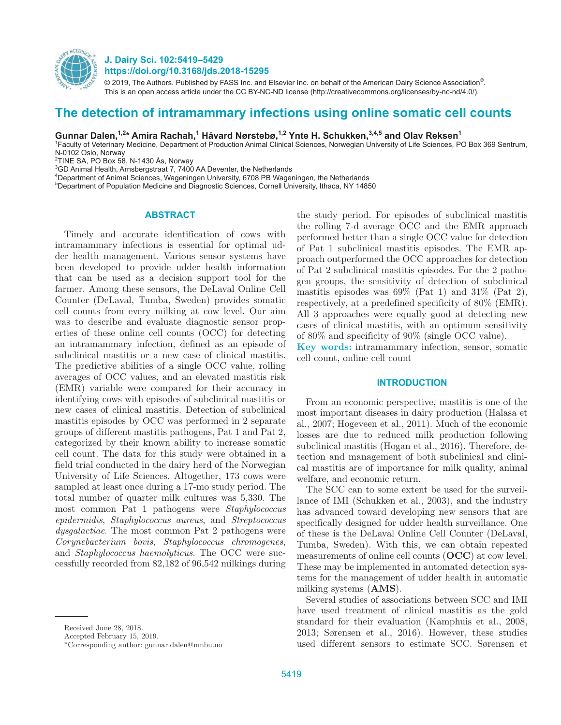

**J. Dairy Sci. 102:5419–5429 https://doi.org/10.3168/jds.2018-15295**

© 2019, The Authors. Published by FASS Inc. and Elsevier Inc. on behalf of the American Dairy Science Association®. This is an open access article under the CC BY-NC-ND license (http://creativecommons.org/licenses/by-nc-nd/4.0/).

# **The detection of intramammary infections using online somatic cell counts**

Gunnar Dalen,<sup>1,2</sup>\* Amira Rachah,<sup>1</sup> Håvard Nørstebø,<sup>1,2</sup> Ynte H. Schukken,<sup>3,4,5</sup> and Olav Reksen<sup>1</sup>

1 Faculty of Veterinary Medicine, Department of Production Animal Clinical Sciences, Norwegian University of Life Sciences, PO Box 369 Sentrum, N-0102 Oslo, Norway

2 TINE SA, PO Box 58, N-1430 Ås, Norway

<sup>3</sup>GD Animal Health, Arnsbergstraat 7, 7400 AA Deventer, the Netherlands

4 Department of Animal Sciences, Wageningen University, 6708 PB Wageningen, the Netherlands

5 Department of Population Medicine and Diagnostic Sciences, Cornell University, Ithaca, NY 14850

#### **ABSTRACT**

Timely and accurate identification of cows with intramammary infections is essential for optimal udder health management. Various sensor systems have been developed to provide udder health information that can be used as a decision support tool for the farmer. Among these sensors, the DeLaval Online Cell Counter (DeLaval, Tumba, Sweden) provides somatic cell counts from every milking at cow level. Our aim was to describe and evaluate diagnostic sensor properties of these online cell counts (OCC) for detecting an intramammary infection, defined as an episode of subclinical mastitis or a new case of clinical mastitis. The predictive abilities of a single OCC value, rolling averages of OCC values, and an elevated mastitis risk (EMR) variable were compared for their accuracy in identifying cows with episodes of subclinical mastitis or new cases of clinical mastitis. Detection of subclinical mastitis episodes by OCC was performed in 2 separate groups of different mastitis pathogens, Pat 1 and Pat 2, categorized by their known ability to increase somatic cell count. The data for this study were obtained in a field trial conducted in the dairy herd of the Norwegian University of Life Sciences. Altogether, 173 cows were sampled at least once during a 17-mo study period. The total number of quarter milk cultures was 5,330. The most common Pat 1 pathogens were *Staphylococcus epidermidis*, *Staphylococcus aureus*, and *Streptococcus dysgalactiae*. The most common Pat 2 pathogens were *Corynebacterium bovis*, *Staphylococcus chromogenes*, and *Staphylococcus haemolyticus*. The OCC were successfully recorded from 82,182 of 96,542 milkings during the study period. For episodes of subclinical mastitis the rolling 7-d average OCC and the EMR approach performed better than a single OCC value for detection of Pat 1 subclinical mastitis episodes. The EMR approach outperformed the OCC approaches for detection of Pat 2 subclinical mastitis episodes. For the 2 pathogen groups, the sensitivity of detection of subclinical mastitis episodes was  $69\%$  (Pat 1) and  $31\%$  (Pat 2), respectively, at a predefined specificity of 80% (EMR). All 3 approaches were equally good at detecting new cases of clinical mastitis, with an optimum sensitivity of 80% and specificity of 90% (single OCC value).

**Key words:** intramammary infection, sensor, somatic cell count, online cell count

### **INTRODUCTION**

From an economic perspective, mastitis is one of the most important diseases in dairy production (Halasa et al., 2007; Hogeveen et al., 2011). Much of the economic losses are due to reduced milk production following subclinical mastitis (Hogan et al., 2016). Therefore, detection and management of both subclinical and clinical mastitis are of importance for milk quality, animal welfare, and economic return.

The SCC can to some extent be used for the surveillance of IMI (Schukken et al., 2003), and the industry has advanced toward developing new sensors that are specifically designed for udder health surveillance. One of these is the DeLaval Online Cell Counter (DeLaval, Tumba, Sweden). With this, we can obtain repeated measurements of online cell counts (**OCC**) at cow level. These may be implemented in automated detection systems for the management of udder health in automatic milking systems (**AMS**).

Several studies of associations between SCC and IMI have used treatment of clinical mastitis as the gold standard for their evaluation (Kamphuis et al., 2008, 2013; Sørensen et al., 2016). However, these studies used different sensors to estimate SCC. Sørensen et

Received June 28, 2018.

Accepted February 15, 2019.

<sup>\*</sup>Corresponding author: gunnar.dalen@nmbu.no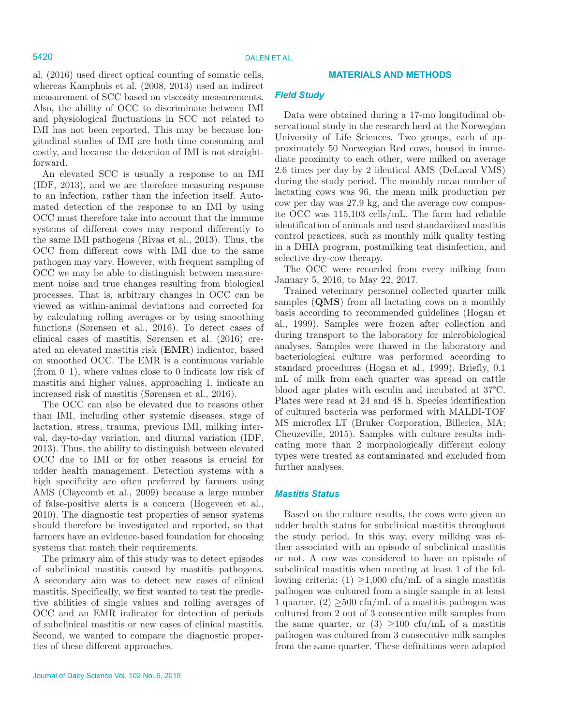# al. (2016) used direct optical counting of somatic cells, whereas Kamphuis et al. (2008, 2013) used an indirect measurement of SCC based on viscosity measurements. Also, the ability of OCC to discriminate between IMI and physiological fluctuations in SCC not related to IMI has not been reported. This may be because longitudinal studies of IMI are both time consuming and costly, and because the detection of IMI is not straightforward.

An elevated SCC is usually a response to an IMI (IDF, 2013), and we are therefore measuring response to an infection, rather than the infection itself. Automated detection of the response to an IMI by using OCC must therefore take into account that the immune systems of different cows may respond differently to the same IMI pathogens (Rivas et al., 2013). Thus, the OCC from different cows with IMI due to the same pathogen may vary. However, with frequent sampling of OCC we may be able to distinguish between measurement noise and true changes resulting from biological processes. That is, arbitrary changes in OCC can be viewed as within-animal deviations and corrected for by calculating rolling averages or by using smoothing functions (Sørensen et al., 2016). To detect cases of clinical cases of mastitis, Sørensen et al. (2016) created an elevated mastitis risk (**EMR**) indicator, based on smoothed OCC. The EMR is a continuous variable (from 0–1), where values close to 0 indicate low risk of mastitis and higher values, approaching 1, indicate an increased risk of mastitis (Sørensen et al., 2016).

The OCC can also be elevated due to reasons other than IMI, including other systemic diseases, stage of lactation, stress, trauma, previous IMI, milking interval, day-to-day variation, and diurnal variation (IDF, 2013). Thus, the ability to distinguish between elevated OCC due to IMI or for other reasons is crucial for udder health management. Detection systems with a high specificity are often preferred by farmers using AMS (Claycomb et al., 2009) because a large number of false-positive alerts is a concern (Hogeveen et al., 2010). The diagnostic test properties of sensor systems should therefore be investigated and reported, so that farmers have an evidence-based foundation for choosing systems that match their requirements.

The primary aim of this study was to detect episodes of subclinical mastitis caused by mastitis pathogens. A secondary aim was to detect new cases of clinical mastitis. Specifically, we first wanted to test the predictive abilities of single values and rolling averages of OCC and an EMR indicator for detection of periods of subclinical mastitis or new cases of clinical mastitis. Second, we wanted to compare the diagnostic properties of these different approaches.

# **MATERIALS AND METHODS**

# *Field Study*

Data were obtained during a 17-mo longitudinal observational study in the research herd at the Norwegian University of Life Sciences. Two groups, each of approximately 50 Norwegian Red cows, housed in immediate proximity to each other, were milked on average 2.6 times per day by 2 identical AMS (DeLaval VMS) during the study period. The monthly mean number of lactating cows was 96, the mean milk production per cow per day was 27.9 kg, and the average cow composite OCC was 115,103 cells/mL. The farm had reliable identification of animals and used standardized mastitis control practices, such as monthly milk quality testing in a DHIA program, postmilking teat disinfection, and selective dry-cow therapy.

The OCC were recorded from every milking from January 5, 2016, to May 22, 2017.

Trained veterinary personnel collected quarter milk samples (**QMS**) from all lactating cows on a monthly basis according to recommended guidelines (Hogan et al., 1999). Samples were frozen after collection and during transport to the laboratory for microbiological analyses. Samples were thawed in the laboratory and bacteriological culture was performed according to standard procedures (Hogan et al., 1999). Briefly, 0.1 mL of milk from each quarter was spread on cattle blood agar plates with esculin and incubated at 37°C. Plates were read at 24 and 48 h. Species identification of cultured bacteria was performed with MALDI-TOF MS microflex LT (Bruker Corporation, Billerica, MA; Cheuzeville, 2015). Samples with culture results indicating more than 2 morphologically different colony types were treated as contaminated and excluded from further analyses.

### *Mastitis Status*

Based on the culture results, the cows were given an udder health status for subclinical mastitis throughout the study period. In this way, every milking was either associated with an episode of subclinical mastitis or not. A cow was considered to have an episode of subclinical mastitis when meeting at least 1 of the following criteria:  $(1) \geq 1,000$  cfu/mL of a single mastitis pathogen was cultured from a single sample in at least 1 quarter,  $(2) \geq 500$  cfu/mL of a mastitis pathogen was cultured from 2 out of 3 consecutive milk samples from the same quarter, or (3)  $\geq$ 100 cfu/mL of a mastitis pathogen was cultured from 3 consecutive milk samples from the same quarter. These definitions were adapted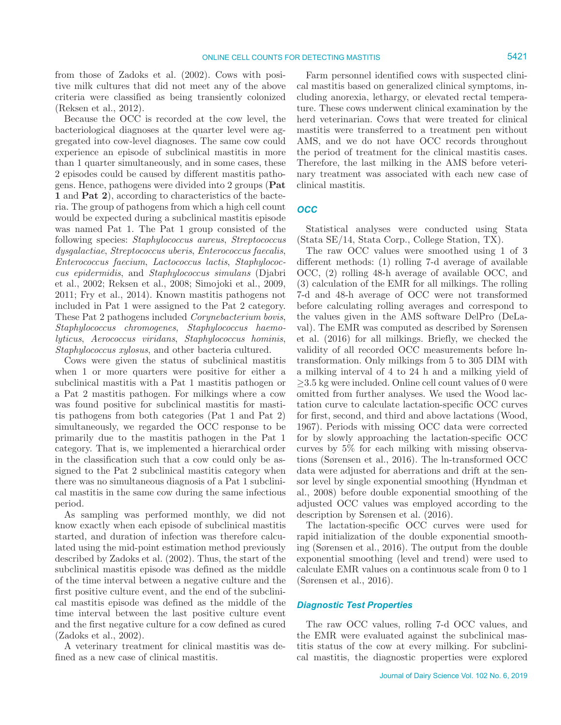from those of Zadoks et al. (2002). Cows with positive milk cultures that did not meet any of the above criteria were classified as being transiently colonized (Reksen et al., 2012).

Because the OCC is recorded at the cow level, the bacteriological diagnoses at the quarter level were aggregated into cow-level diagnoses. The same cow could experience an episode of subclinical mastitis in more than 1 quarter simultaneously, and in some cases, these 2 episodes could be caused by different mastitis pathogens. Hence, pathogens were divided into 2 groups (**Pat 1** and **Pat 2**), according to characteristics of the bacteria. The group of pathogens from which a high cell count would be expected during a subclinical mastitis episode was named Pat 1. The Pat 1 group consisted of the following species: *Staphylococcus aureus*, *Streptococcus dysgalactiae*, *Streptococcus uberis*, *Enterococcus faecalis*, *Enterococcus faecium*, *Lactococcus lactis*, *Staphylococcus epidermidis*, and *Staphylococcus simulans* (Djabri et al., 2002; Reksen et al., 2008; Simojoki et al., 2009, 2011; Fry et al., 2014). Known mastitis pathogens not included in Pat 1 were assigned to the Pat 2 category. These Pat 2 pathogens included *Corynebacterium bovis*, *Staphylococcus chromogenes*, *Staphylococcus haemolyticus*, *Aerococcus viridans*, *Staphylococcus hominis*, *Staphylococcus xylosus*, and other bacteria cultured.

Cows were given the status of subclinical mastitis when 1 or more quarters were positive for either a subclinical mastitis with a Pat 1 mastitis pathogen or a Pat 2 mastitis pathogen. For milkings where a cow was found positive for subclinical mastitis for mastitis pathogens from both categories (Pat 1 and Pat 2) simultaneously, we regarded the OCC response to be primarily due to the mastitis pathogen in the Pat 1 category. That is, we implemented a hierarchical order in the classification such that a cow could only be assigned to the Pat 2 subclinical mastitis category when there was no simultaneous diagnosis of a Pat 1 subclinical mastitis in the same cow during the same infectious period.

As sampling was performed monthly, we did not know exactly when each episode of subclinical mastitis started, and duration of infection was therefore calculated using the mid-point estimation method previously described by Zadoks et al. (2002). Thus, the start of the subclinical mastitis episode was defined as the middle of the time interval between a negative culture and the first positive culture event, and the end of the subclinical mastitis episode was defined as the middle of the time interval between the last positive culture event and the first negative culture for a cow defined as cured (Zadoks et al., 2002).

A veterinary treatment for clinical mastitis was defined as a new case of clinical mastitis.

Farm personnel identified cows with suspected clinical mastitis based on generalized clinical symptoms, including anorexia, lethargy, or elevated rectal temperature. These cows underwent clinical examination by the herd veterinarian. Cows that were treated for clinical mastitis were transferred to a treatment pen without AMS, and we do not have OCC records throughout the period of treatment for the clinical mastitis cases. Therefore, the last milking in the AMS before veterinary treatment was associated with each new case of clinical mastitis.

# *OCC*

Statistical analyses were conducted using Stata (Stata SE/14, Stata Corp., College Station, TX).

The raw OCC values were smoothed using 1 of 3 different methods: (1) rolling 7-d average of available OCC, (2) rolling 48-h average of available OCC, and (3) calculation of the EMR for all milkings. The rolling 7-d and 48-h average of OCC were not transformed before calculating rolling averages and correspond to the values given in the AMS software DelPro (DeLaval). The EMR was computed as described by Sørensen et al. (2016) for all milkings. Briefly, we checked the validity of all recorded OCC measurements before lntransformation. Only milkings from 5 to 305 DIM with a milking interval of 4 to 24 h and a milking yield of  $\geq$ 3.5 kg were included. Online cell count values of 0 were omitted from further analyses. We used the Wood lactation curve to calculate lactation-specific OCC curves for first, second, and third and above lactations (Wood, 1967). Periods with missing OCC data were corrected for by slowly approaching the lactation-specific OCC curves by 5% for each milking with missing observations (Sørensen et al., 2016). The ln-transformed OCC data were adjusted for aberrations and drift at the sensor level by single exponential smoothing (Hyndman et al., 2008) before double exponential smoothing of the adjusted OCC values was employed according to the description by Sørensen et al. (2016).

The lactation-specific OCC curves were used for rapid initialization of the double exponential smoothing (Sørensen et al., 2016). The output from the double exponential smoothing (level and trend) were used to calculate EMR values on a continuous scale from 0 to 1 (Sørensen et al., 2016).

# *Diagnostic Test Properties*

The raw OCC values, rolling 7-d OCC values, and the EMR were evaluated against the subclinical mastitis status of the cow at every milking. For subclinical mastitis, the diagnostic properties were explored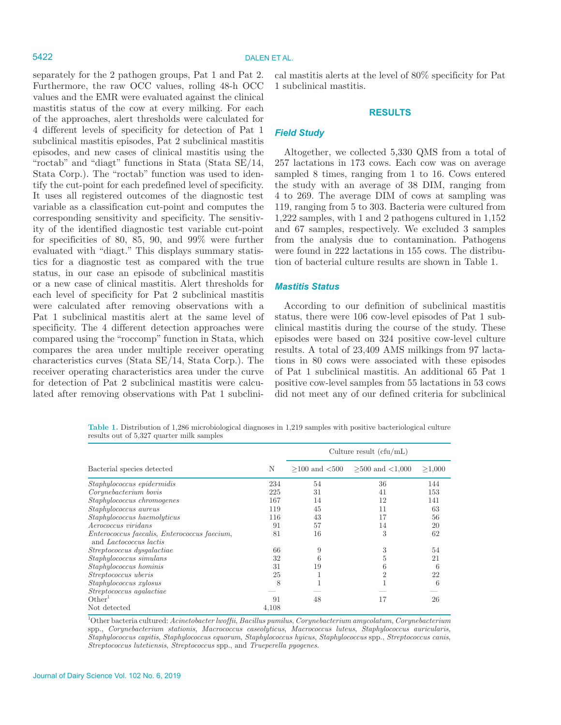separately for the 2 pathogen groups, Pat 1 and Pat 2. Furthermore, the raw OCC values, rolling 48-h OCC values and the EMR were evaluated against the clinical mastitis status of the cow at every milking. For each of the approaches, alert thresholds were calculated for 4 different levels of specificity for detection of Pat 1 subclinical mastitis episodes, Pat 2 subclinical mastitis episodes, and new cases of clinical mastitis using the "roctab" and "diagt" functions in Stata (Stata SE/14, Stata Corp.). The "roctab" function was used to identify the cut-point for each predefined level of specificity. It uses all registered outcomes of the diagnostic test variable as a classification cut-point and computes the corresponding sensitivity and specificity. The sensitivity of the identified diagnostic test variable cut-point for specificities of 80, 85, 90, and 99% were further evaluated with "diagt." This displays summary statistics for a diagnostic test as compared with the true status, in our case an episode of subclinical mastitis or a new case of clinical mastitis. Alert thresholds for each level of specificity for Pat 2 subclinical mastitis were calculated after removing observations with a Pat 1 subclinical mastitis alert at the same level of specificity. The 4 different detection approaches were compared using the "roccomp" function in Stata, which compares the area under multiple receiver operating characteristics curves (Stata SE/14, Stata Corp.). The receiver operating characteristics area under the curve for detection of Pat 2 subclinical mastitis were calculated after removing observations with Pat 1 subclinical mastitis alerts at the level of 80% specificity for Pat 1 subclinical mastitis.

#### **RESULTS**

#### *Field Study*

Altogether, we collected 5,330 QMS from a total of 257 lactations in 173 cows. Each cow was on average sampled 8 times, ranging from 1 to 16. Cows entered the study with an average of 38 DIM, ranging from 4 to 269. The average DIM of cows at sampling was 119, ranging from 5 to 303. Bacteria were cultured from 1,222 samples, with 1 and 2 pathogens cultured in 1,152 and 67 samples, respectively. We excluded 3 samples from the analysis due to contamination. Pathogens were found in 222 lactations in 155 cows. The distribution of bacterial culture results are shown in Table 1.

# *Mastitis Status*

According to our definition of subclinical mastitis status, there were 106 cow-level episodes of Pat 1 subclinical mastitis during the course of the study. These episodes were based on 324 positive cow-level culture results. A total of 23,409 AMS milkings from 97 lactations in 80 cows were associated with these episodes of Pat 1 subclinical mastitis. An additional 65 Pat 1 positive cow-level samples from 55 lactations in 53 cows did not meet any of our defined criteria for subclinical

**Table 1.** Distribution of 1,286 microbiological diagnoses in 1,219 samples with positive bacteriological culture results out of 5,327 quarter milk samples

|                                                                        |       | Culture result $(cfu/mL)$ |                                          |        |
|------------------------------------------------------------------------|-------|---------------------------|------------------------------------------|--------|
| Bacterial species detected                                             | N     |                           | $>100$ and $< 500$ $> 500$ and $< 1,000$ | >1,000 |
| Staphylococcus epidermidis                                             | 234   | 54                        | 36                                       | 144    |
| Corynebacterium bovis                                                  | 225   | 31                        | 41                                       | 153    |
| Staphylococcus chromogenes                                             | 167   | 14                        | 12                                       | 141    |
| <i>Staphylococcus aureus</i>                                           | 119   | 45                        | 11                                       | 63     |
| Staphylococcus haemolyticus                                            | 116   | 43                        | 17                                       | 56     |
| Aerococcus viridans                                                    | 91    | 57                        | 14                                       | 20     |
| Enterococcus faecalis, Enterococcus faecium,<br>and Lactococcus lactis | 81    | 16                        | 3                                        | 62     |
| Streptococcus dysgalactiae                                             | 66    | 9                         | 3                                        | 54     |
| Staphylococcus simulans                                                | 32    | 6                         |                                          | 21     |
| Staphylococcus hominis                                                 | 31    | 19                        | h                                        | 6      |
| Streptococcus uberis                                                   | 25    |                           | 2                                        | 22     |
| Staphylococcus xylosus                                                 | 8     |                           |                                          | 6      |
| Streptococcus agalactiae                                               |       |                           |                                          |        |
| Other <sup>1</sup>                                                     | 91    | 48                        | 17                                       | 26     |
| Not detected                                                           | 4,108 |                           |                                          |        |

1 Other bacteria cultured: *Acinetobacter lwoffii*, *Bacillus pumilus*, *Corynebacterium amycolatum*, *Corynebacterium*  spp., *Corynebacterium stationis*, *Macrococcus caseolyticus*, *Macrococcus luteus*, *Staphylococcus auricularis*, *Staphylococcus capitis*, *Staphylococcus equorum*, *Staphylococcus hyicus*, *Staphylococcus* spp., *Streptococcus canis*, *Streptococcus lutetiensis*, *Streptococcus* spp., and *Trueperella pyogenes*.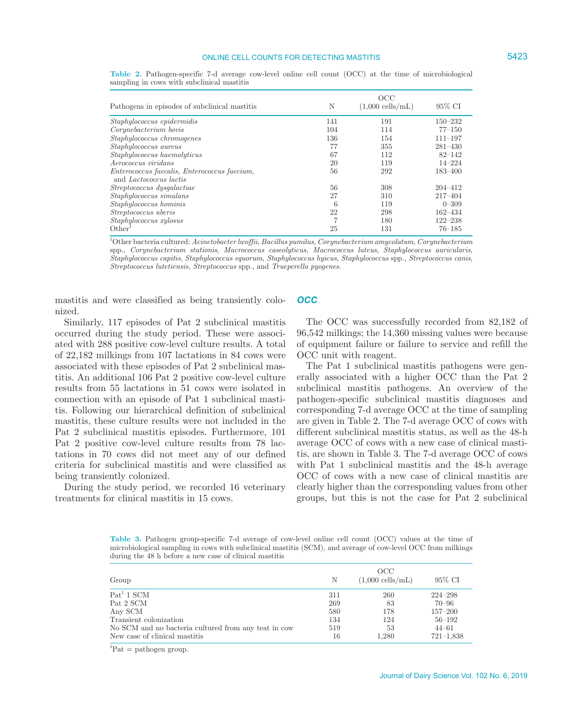## ONLINE CELL COUNTS FOR DETECTING MASTITIS **5423**

| N   | OCC<br>$(1,000 \text{ cells/mL})$ | 95% CI      |
|-----|-----------------------------------|-------------|
| 141 | 191                               | $150 - 232$ |
| 104 | 114                               | $77 - 150$  |
| 136 | 154                               | $111 - 197$ |
| 77  | 355                               | $281 - 430$ |
| 67  | 112                               | $82 - 142$  |
| 20  | 119                               | $14 - 224$  |
| 56  | 292                               | $183 - 400$ |
| 56  | 308                               | 204-412     |
| 27  | 310                               | $217 - 404$ |
| 6   | 119                               | $0 - 309$   |
| 22  | 298                               | $162 - 434$ |
|     | 180                               | $122 - 238$ |
| 25  | 131                               | $76 - 185$  |
|     |                                   |             |

**Table 2.** Pathogen-specific 7-d average cow-level online cell count (OCC) at the time of microbiological sampling in cows with subclinical mastitis

1 Other bacteria cultured: *Acinetobacter lwoffii*, *Bacillus pumilus*, *Corynebacterium amycolatum*, *Corynebacterium* spp., *Corynebacterium stationis*, *Macrococcus caseolyticus*, *Macrococcus luteus*, *Staphylococcus auricularis*, *Staphylococcus capitis*, *Staphylococcus equorum*, *Staphylococcus hyicus*, *Staphylococcus* spp., *Streptococcus canis*, *Streptococcus lutetiensis*, *Streptococcus* spp., and *Trueperella pyogenes*.

mastitis and were classified as being transiently colonized.

Similarly, 117 episodes of Pat 2 subclinical mastitis occurred during the study period. These were associated with 288 positive cow-level culture results. A total of 22,182 milkings from 107 lactations in 84 cows were associated with these episodes of Pat 2 subclinical mastitis. An additional 106 Pat 2 positive cow-level culture results from 55 lactations in 51 cows were isolated in connection with an episode of Pat 1 subclinical mastitis. Following our hierarchical definition of subclinical mastitis, these culture results were not included in the Pat 2 subclinical mastitis episodes. Furthermore, 101 Pat 2 positive cow-level culture results from 78 lactations in 70 cows did not meet any of our defined criteria for subclinical mastitis and were classified as being transiently colonized.

During the study period, we recorded 16 veterinary treatments for clinical mastitis in 15 cows.

### *OCC*

The OCC was successfully recorded from 82,182 of 96,542 milkings; the 14,360 missing values were because of equipment failure or failure to service and refill the OCC unit with reagent.

The Pat 1 subclinical mastitis pathogens were generally associated with a higher OCC than the Pat 2 subclinical mastitis pathogens. An overview of the pathogen-specific subclinical mastitis diagnoses and corresponding 7-d average OCC at the time of sampling are given in Table 2. The 7-d average OCC of cows with different subclinical mastitis status, as well as the 48-h average OCC of cows with a new case of clinical mastitis, are shown in Table 3. The 7-d average OCC of cows with Pat 1 subclinical mastitis and the 48-h average OCC of cows with a new case of clinical mastitis are clearly higher than the corresponding values from other groups, but this is not the case for Pat 2 subclinical

**Table 3.** Pathogen group-specific 7-d average of cow-level online cell count (OCC) values at the time of microbiological sampling in cows with subclinical mastitis (SCM), and average of cow-level OCC from milkings during the 48 h before a new case of clinical mastitis

| Group                                                | Ν   | OCC<br>$(1,000 \text{ cells/mL})$ | 95% CI        |
|------------------------------------------------------|-----|-----------------------------------|---------------|
| $Pat1 1$ SCM                                         | 311 | 260                               | $224 - 298$   |
| Pat 2 SCM                                            | 269 | 83                                | $70 - 96$     |
| Any SCM                                              | 580 | 178                               | $157 - 200$   |
| Transient colonization                               | 134 | 124                               | $56 - 192$    |
| No SCM and no bacteria cultured from any teat in cow | 519 | 53                                | $44 - 61$     |
| New case of clinical mastitis                        | 16  | 1,280                             | $721 - 1.838$ |

 ${}^{1}$ Pat = pathogen group.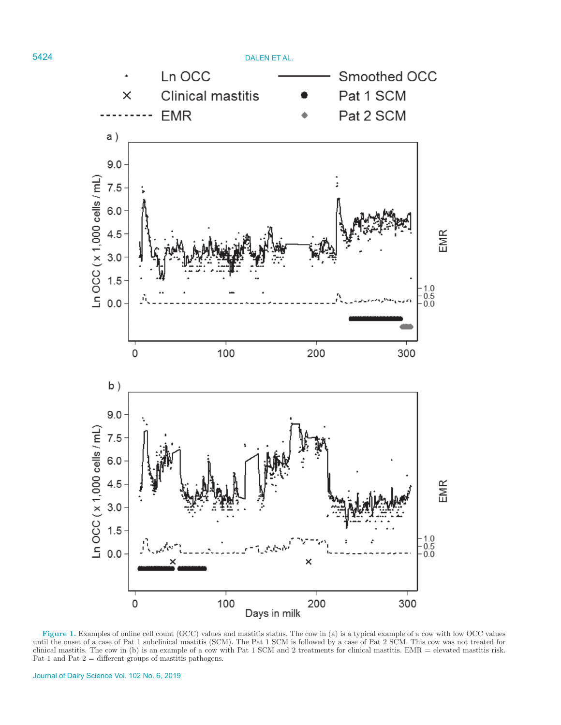

**Figure 1.** Examples of online cell count (OCC) values and mastitis status. The cow in (a) is a typical example of a cow with low OCC values until the onset of a case of Pat 1 subclinical mastitis (SCM). The Pat 1 SCM is followed by a case of Pat 2 SCM. This cow was not treated for clinical mastitis. The cow in (b) is an example of a cow with Pat 1 SCM and 2 treatments for clinical mastitis. EMR = elevated mastitis risk. Pat 1 and Pat  $2$  = different groups of mastitis pathogens.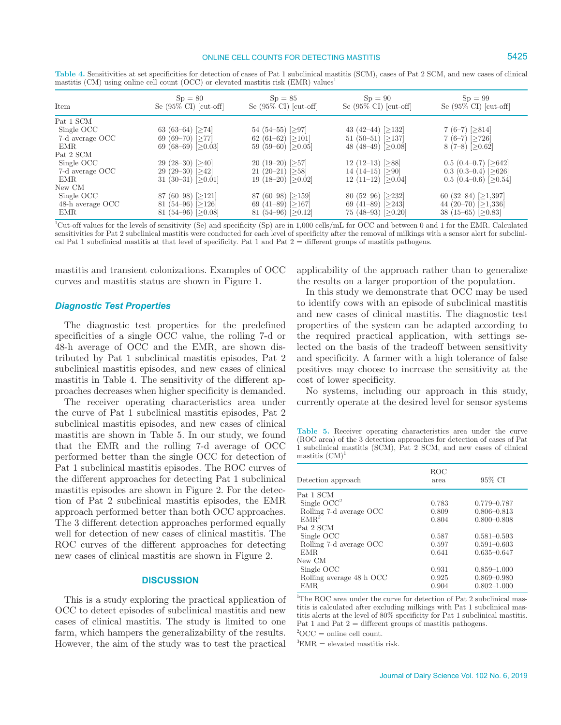### ONLINE CELL COUNTS FOR DETECTING MASTITIS **5425**

| Item             | $Sp = 80$<br>Se $(95\% \text{ CI})$ [cut-off] | $Sp = 85$<br>Se $(95\% \text{ CI})$ [cut-off] | $Sp = 90$<br>Se $(95\% \text{ CI})$ [cut-off] | $Sp = 99$<br>Se $(95\% \text{ CI})$ [cut-off] |
|------------------|-----------------------------------------------|-----------------------------------------------|-----------------------------------------------|-----------------------------------------------|
| Pat 1 SCM        |                                               |                                               |                                               |                                               |
| Single OCC       | 63 (63-64) [ $\geq$ 74]                       | 54 (54–55) [ $\geq$ 97]                       | 43 (42–44) [ $\geq$ 132]                      | 7 $(6-7)$ [ $\geq$ 814]                       |
| 7-d average OCC  | 69 (69–70) [ $\geq$ 77]                       | 62 (61-62) [ $\geq$ 101]                      | 51 (50–51) [ $\geq$ 137]                      | 7 $(6-7)$ [ $\geq$ 726]                       |
| EMR              | 69 (68–69) [ $>0.03$ ]                        | 59 (59–60) $\geq 0.05$                        | 48 (48–49) [ $\geq$ 0.08]                     | 8 (7-8) $[≥0.62]$                             |
| Pat 2 SCM        |                                               |                                               |                                               |                                               |
| Single OCC       | $29(28-30)$ [>40]                             | $20(19-20)$ [ $>57$ ]                         | 12 (12–13) $[≥88]$                            | $0.5(0.4-0.7)$ [>642]                         |
| 7-d average OCC  | 29 (29–30) [ $\geq$ 42]                       | 21 (20-21) $[≥58]$                            | 14 (14–15) $[≥90]$                            | 0.3 $(0.3-0.4)$ [ $\geq 626$ ]                |
| EMR.             | 31 (30–31) [ $\geq$ 0.01]                     | 19 (18-20) $[≥0.02]$                          | 12 (11-12) $[≥0.04]$                          | $0.5$ (0.4–0.6) [ $\geq$ 0.54]                |
| New CM           |                                               |                                               |                                               |                                               |
| Single OCC       | 87 (60–98) [ $\geq$ 121]                      | 87 (60–98) [ $\geq$ 159]                      | 80 (52–96) [ $\geq$ 232]                      | 60 (32-84) $[≥1,397]$                         |
| 48-h average OCC | 81 (54–96) [ $\geq$ 126]                      | 69 (41–89) [ $\geq$ 167]                      | 69 (41–89) [ $\geq$ 243]                      | 44 (20-70) $[≥1,336]$                         |
| <b>EMR</b>       | 81 (54–96) [ $\geq$ 0.08]                     | 81 (54–96) [ $\geq$ 0.12]                     | 75 (48-93) [ $\geq$ 0.20]                     | 38 (15–65) [ $\geq$ 0.83]                     |

**Table 4.** Sensitivities at set specificities for detection of cases of Pat 1 subclinical mastitis (SCM), cases of Pat 2 SCM, and new cases of clinical mastitis  $(CM)$  using online cell count  $(OCC)$  or elevated mastitis risk  $(EMR)$  values<sup>1</sup>

<sup>1</sup>Cut-off values for the levels of sensitivity (Se) and specificity (Sp) are in 1,000 cells/mL for OCC and between 0 and 1 for the EMR. Calculated sensitivities for Pat 2 subclinical mastitis were conducted for each level of specificity after the removal of milkings with a sensor alert for subclinical Pat 1 subclinical mastitis at that level of specificity. Pat 1 and Pat 2 = different groups of mastitis pathogens.

mastitis and transient colonizations. Examples of OCC curves and mastitis status are shown in Figure 1.

### *Diagnostic Test Properties*

The diagnostic test properties for the predefined specificities of a single OCC value, the rolling 7-d or 48-h average of OCC and the EMR, are shown distributed by Pat 1 subclinical mastitis episodes, Pat 2 subclinical mastitis episodes, and new cases of clinical mastitis in Table 4. The sensitivity of the different approaches decreases when higher specificity is demanded.

The receiver operating characteristics area under the curve of Pat 1 subclinical mastitis episodes, Pat 2 subclinical mastitis episodes, and new cases of clinical mastitis are shown in Table 5. In our study, we found that the EMR and the rolling 7-d average of OCC performed better than the single OCC for detection of Pat 1 subclinical mastitis episodes. The ROC curves of the different approaches for detecting Pat 1 subclinical mastitis episodes are shown in Figure 2. For the detection of Pat 2 subclinical mastitis episodes, the EMR approach performed better than both OCC approaches. The 3 different detection approaches performed equally well for detection of new cases of clinical mastitis. The ROC curves of the different approaches for detecting new cases of clinical mastitis are shown in Figure 2.

### **DISCUSSION**

This is a study exploring the practical application of OCC to detect episodes of subclinical mastitis and new cases of clinical mastitis. The study is limited to one farm, which hampers the generalizability of the results. However, the aim of the study was to test the practical

applicability of the approach rather than to generalize the results on a larger proportion of the population.

In this study we demonstrate that OCC may be used to identify cows with an episode of subclinical mastitis and new cases of clinical mastitis. The diagnostic test properties of the system can be adapted according to the required practical application, with settings selected on the basis of the tradeoff between sensitivity and specificity. A farmer with a high tolerance of false positives may choose to increase the sensitivity at the cost of lower specificity.

No systems, including our approach in this study, currently operate at the desired level for sensor systems

**Table 5.** Receiver operating characteristics area under the curve (ROC area) of the 3 detection approaches for detection of cases of Pat 1 subclinical mastitis (SCM), Pat 2 SCM, and new cases of clinical mastitis (CM)

| Detection approach       | ROC<br>area | 95% CI          |
|--------------------------|-------------|-----------------|
| Pat 1 SCM                |             |                 |
| Single $OCC^2$           | 0.783       | $0.779 - 0.787$ |
| Rolling 7-d average OCC  | 0.809       | $0.806 - 0.813$ |
| EMR <sup>3</sup>         | 0.804       | $0.800 - 0.808$ |
| Pat 2 SCM                |             |                 |
| Single OCC               | 0.587       | $0.581 - 0.593$ |
| Rolling 7-d average OCC  | 0.597       | $0.591 - 0.603$ |
| EMR.                     | 0.641       | $0.635 - 0.647$ |
| New CM                   |             |                 |
| Single OCC               | 0.931       | $0.859 - 1.000$ |
| Rolling average 48 h OCC | 0.925       | $0.869 - 0.980$ |
| EMR.                     | 0.904       | $0.802 - 1.000$ |

<sup>1</sup>The ROC area under the curve for detection of Pat 2 subclinical mastitis is calculated after excluding milkings with Pat 1 subclinical mastitis alerts at the level of 80% specificity for Pat 1 subclinical mastitis. Pat 1 and Pat  $2 =$  different groups of mastitis pathogens.

 ${}^{2}OCC =$  online cell count.

 ${}^{3}$ EMR = elevated mastitis risk.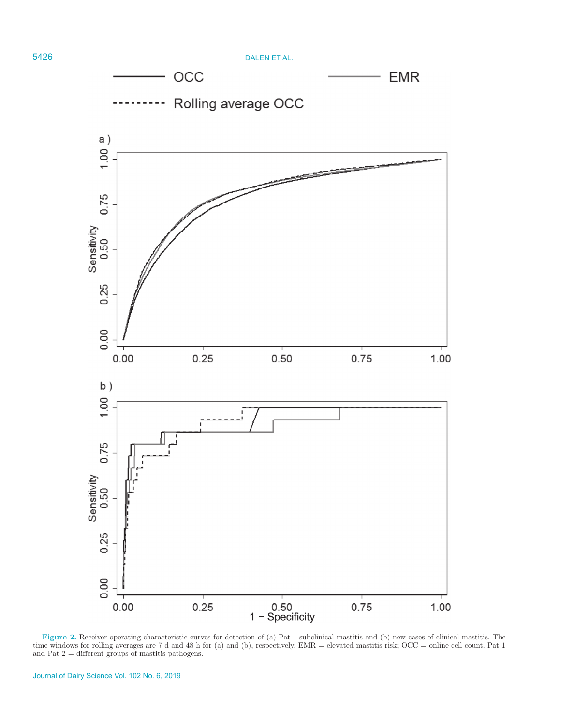

**Figure 2.** Receiver operating characteristic curves for detection of (a) Pat 1 subclinical mastitis and (b) new cases of clinical mastitis. The time windows for rolling averages are 7 d and 48 h for (a) and (b), respectively. EMR = elevated mastitis risk; OCC = online cell count. Pat 1 and Pat 2 = different groups of mastitis pathogens.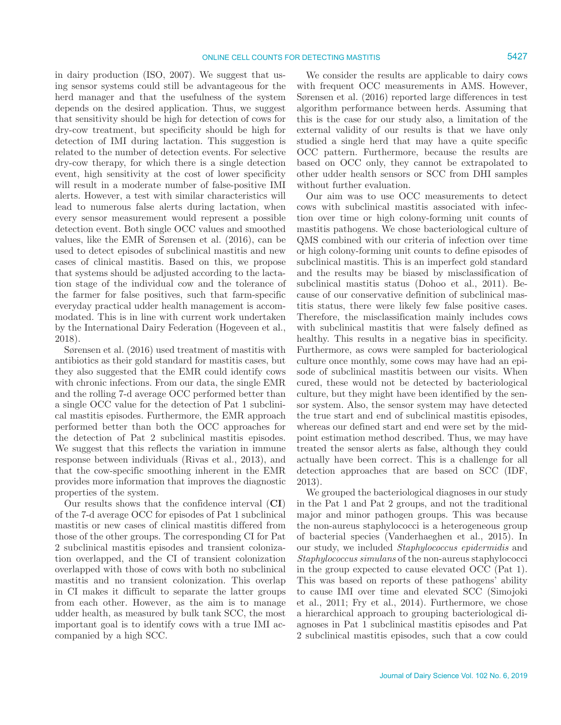in dairy production (ISO, 2007). We suggest that using sensor systems could still be advantageous for the herd manager and that the usefulness of the system depends on the desired application. Thus, we suggest that sensitivity should be high for detection of cows for dry-cow treatment, but specificity should be high for detection of IMI during lactation. This suggestion is related to the number of detection events. For selective dry-cow therapy, for which there is a single detection event, high sensitivity at the cost of lower specificity will result in a moderate number of false-positive IMI alerts. However, a test with similar characteristics will lead to numerous false alerts during lactation, when every sensor measurement would represent a possible detection event. Both single OCC values and smoothed values, like the EMR of Sørensen et al. (2016), can be used to detect episodes of subclinical mastitis and new cases of clinical mastitis. Based on this, we propose that systems should be adjusted according to the lactation stage of the individual cow and the tolerance of the farmer for false positives, such that farm-specific everyday practical udder health management is accommodated. This is in line with current work undertaken by the International Dairy Federation (Hogeveen et al., 2018).

Sørensen et al. (2016) used treatment of mastitis with antibiotics as their gold standard for mastitis cases, but they also suggested that the EMR could identify cows with chronic infections. From our data, the single EMR and the rolling 7-d average OCC performed better than a single OCC value for the detection of Pat 1 subclinical mastitis episodes. Furthermore, the EMR approach performed better than both the OCC approaches for the detection of Pat 2 subclinical mastitis episodes. We suggest that this reflects the variation in immune response between individuals (Rivas et al., 2013), and that the cow-specific smoothing inherent in the EMR provides more information that improves the diagnostic properties of the system.

Our results shows that the confidence interval (**CI**) of the 7-d average OCC for episodes of Pat 1 subclinical mastitis or new cases of clinical mastitis differed from those of the other groups. The corresponding CI for Pat 2 subclinical mastitis episodes and transient colonization overlapped, and the CI of transient colonization overlapped with those of cows with both no subclinical mastitis and no transient colonization. This overlap in CI makes it difficult to separate the latter groups from each other. However, as the aim is to manage udder health, as measured by bulk tank SCC, the most important goal is to identify cows with a true IMI accompanied by a high SCC.

We consider the results are applicable to dairy cows with frequent OCC measurements in AMS. However, Sørensen et al. (2016) reported large differences in test algorithm performance between herds. Assuming that this is the case for our study also, a limitation of the external validity of our results is that we have only studied a single herd that may have a quite specific OCC pattern. Furthermore, because the results are based on OCC only, they cannot be extrapolated to other udder health sensors or SCC from DHI samples without further evaluation.

Our aim was to use OCC measurements to detect cows with subclinical mastitis associated with infection over time or high colony-forming unit counts of mastitis pathogens. We chose bacteriological culture of QMS combined with our criteria of infection over time or high colony-forming unit counts to define episodes of subclinical mastitis. This is an imperfect gold standard and the results may be biased by misclassification of subclinical mastitis status (Dohoo et al., 2011). Because of our conservative definition of subclinical mastitis status, there were likely few false positive cases. Therefore, the misclassification mainly includes cows with subclinical mastitis that were falsely defined as healthy. This results in a negative bias in specificity. Furthermore, as cows were sampled for bacteriological culture once monthly, some cows may have had an episode of subclinical mastitis between our visits. When cured, these would not be detected by bacteriological culture, but they might have been identified by the sensor system. Also, the sensor system may have detected the true start and end of subclinical mastitis episodes, whereas our defined start and end were set by the midpoint estimation method described. Thus, we may have treated the sensor alerts as false, although they could actually have been correct. This is a challenge for all detection approaches that are based on SCC (IDF, 2013).

We grouped the bacteriological diagnoses in our study in the Pat 1 and Pat 2 groups, and not the traditional major and minor pathogen groups. This was because the non-aureus staphylococci is a heterogeneous group of bacterial species (Vanderhaeghen et al., 2015). In our study, we included *Staphylococcus epidermidis* and *Staphylococcus simulans* of the non-aureus staphylococci in the group expected to cause elevated OCC (Pat 1). This was based on reports of these pathogens' ability to cause IMI over time and elevated SCC (Simojoki et al., 2011; Fry et al., 2014). Furthermore, we chose a hierarchical approach to grouping bacteriological diagnoses in Pat 1 subclinical mastitis episodes and Pat 2 subclinical mastitis episodes, such that a cow could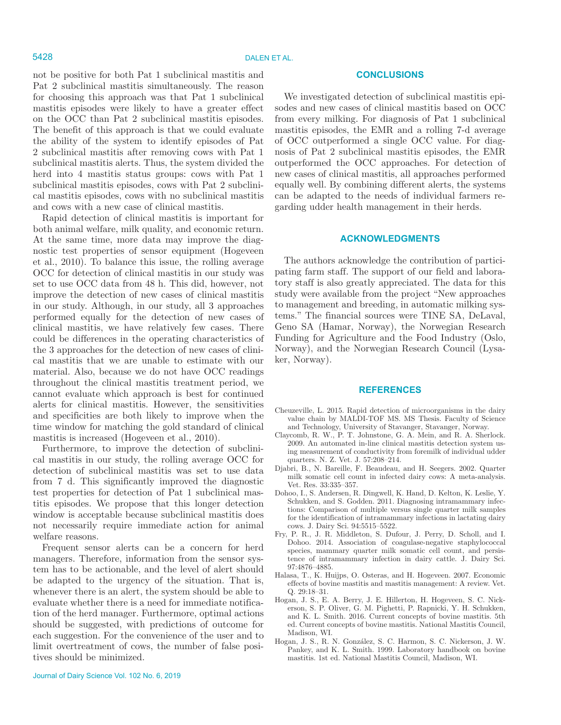not be positive for both Pat 1 subclinical mastitis and Pat 2 subclinical mastitis simultaneously. The reason for choosing this approach was that Pat 1 subclinical mastitis episodes were likely to have a greater effect on the OCC than Pat 2 subclinical mastitis episodes. The benefit of this approach is that we could evaluate the ability of the system to identify episodes of Pat 2 subclinical mastitis after removing cows with Pat 1 subclinical mastitis alerts. Thus, the system divided the herd into 4 mastitis status groups: cows with Pat 1 subclinical mastitis episodes, cows with Pat 2 subclinical mastitis episodes, cows with no subclinical mastitis and cows with a new case of clinical mastitis.

Rapid detection of clinical mastitis is important for both animal welfare, milk quality, and economic return. At the same time, more data may improve the diagnostic test properties of sensor equipment (Hogeveen et al., 2010). To balance this issue, the rolling average OCC for detection of clinical mastitis in our study was set to use OCC data from 48 h. This did, however, not improve the detection of new cases of clinical mastitis in our study. Although, in our study, all 3 approaches performed equally for the detection of new cases of clinical mastitis, we have relatively few cases. There could be differences in the operating characteristics of the 3 approaches for the detection of new cases of clinical mastitis that we are unable to estimate with our material. Also, because we do not have OCC readings throughout the clinical mastitis treatment period, we cannot evaluate which approach is best for continued alerts for clinical mastitis. However, the sensitivities and specificities are both likely to improve when the time window for matching the gold standard of clinical mastitis is increased (Hogeveen et al., 2010).

Furthermore, to improve the detection of subclinical mastitis in our study, the rolling average OCC for detection of subclinical mastitis was set to use data from 7 d. This significantly improved the diagnostic test properties for detection of Pat 1 subclinical mastitis episodes. We propose that this longer detection window is acceptable because subclinical mastitis does not necessarily require immediate action for animal welfare reasons.

Frequent sensor alerts can be a concern for herd managers. Therefore, information from the sensor system has to be actionable, and the level of alert should be adapted to the urgency of the situation. That is, whenever there is an alert, the system should be able to evaluate whether there is a need for immediate notification of the herd manager. Furthermore, optimal actions should be suggested, with predictions of outcome for each suggestion. For the convenience of the user and to limit overtreatment of cows, the number of false positives should be minimized.

#### **CONCLUSIONS**

We investigated detection of subclinical mastitis episodes and new cases of clinical mastitis based on OCC from every milking. For diagnosis of Pat 1 subclinical mastitis episodes, the EMR and a rolling 7-d average of OCC outperformed a single OCC value. For diagnosis of Pat 2 subclinical mastitis episodes, the EMR outperformed the OCC approaches. For detection of new cases of clinical mastitis, all approaches performed equally well. By combining different alerts, the systems can be adapted to the needs of individual farmers regarding udder health management in their herds.

#### **ACKNOWLEDGMENTS**

The authors acknowledge the contribution of participating farm staff. The support of our field and laboratory staff is also greatly appreciated. The data for this study were available from the project "New approaches to management and breeding, in automatic milking systems." The financial sources were TINE SA, DeLaval, Geno SA (Hamar, Norway), the Norwegian Research Funding for Agriculture and the Food Industry (Oslo, Norway), and the Norwegian Research Council (Lysaker, Norway).

#### **REFERENCES**

- Cheuzeville, L. 2015. Rapid detection of microorganisms in the dairy value chain by MALDI-TOF MS. MS Thesis. Faculty of Science and Technology, University of Stavanger, Stavanger, Norway.
- Claycomb, R. W., P. T. Johnstone, G. A. Mein, and R. A. Sherlock. 2009. An automated in-line clinical mastitis detection system using measurement of conductivity from foremilk of individual udder quarters. N. Z. Vet. J. 57:208–214.
- Djabri, B., N. Bareille, F. Beaudeau, and H. Seegers. 2002. Quarter milk somatic cell count in infected dairy cows: A meta-analysis. Vet. Res. 33:335–357.
- Dohoo, I., S. Andersen, R. Dingwell, K. Hand, D. Kelton, K. Leslie, Y. Schukken, and S. Godden. 2011. Diagnosing intramammary infections: Comparison of multiple versus single quarter milk samples for the identification of intramammary infections in lactating dairy cows. J. Dairy Sci. 94:5515–5522.
- Fry, P. R., J. R. Middleton, S. Dufour, J. Perry, D. Scholl, and I. Dohoo. 2014. Association of coagulase-negative staphylococcal species, mammary quarter milk somatic cell count, and persistence of intramammary infection in dairy cattle. J. Dairy Sci. 97:4876–4885.
- Halasa, T., K. Huijps, O. Osteras, and H. Hogeveen. 2007. Economic effects of bovine mastitis and mastitis management: A review. Vet. Q. 29:18–31.
- Hogan, J. S., E. A. Berry, J. E. Hillerton, H. Hogeveen, S. C. Nickerson, S. P. Oliver, G. M. Pighetti, P. Rapnicki, Y. H. Schukken, and K. L. Smith. 2016. Current concepts of bovine mastitis. 5th ed. Current concepts of bovine mastitis. National Mastitis Council, Madison, WI.
- Hogan, J. S., R. N. González, S. C. Harmon, S. C. Nickerson, J. W. Pankey, and K. L. Smith. 1999. Laboratory handbook on bovine mastitis. 1st ed. National Mastitis Council, Madison, WI.